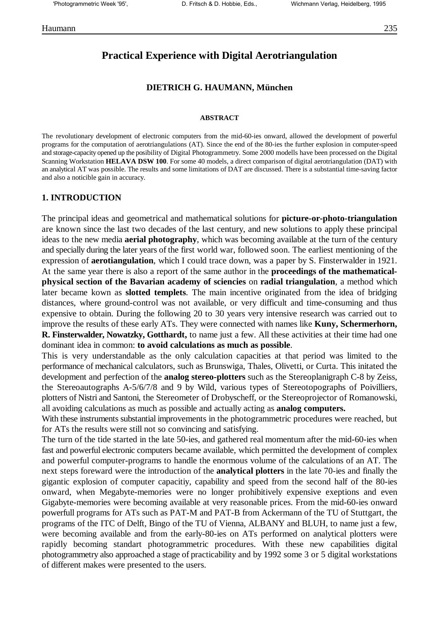# **Practical Experience with Digital Aerotriangulation**

### **DIETRICH G. HAUMANN, München**

#### **ABSTRACT**

The revolutionary development of electronic computers from the mid-60-ies onward, allowed the development of powerful programs for the computation of aerotriangulations (AT). Since the end of the 80-ies the further explosion in computer-speed and storage-capacity opened up the posibility of Digital Photogrammetry. Some 2000 modells have been processed on the Digital Scanning Workstation **HELAVA DSW 100**. For some 40 models, a direct comparison of digital aerotriangulation (DAT) with an analytical AT was possible. The results and some limitations of DAT are discussed. There is a substantial time-saving factor and also a noticible gain in accuracy.

#### **1. INTRODUCTION**

The principal ideas and geometrical and mathematical solutions for **picture-or-photo-triangulation** are known since the last two decades of the last century, and new solutions to apply these principal ideas to the new media **aerial photography**, which was becoming available at the turn of the century and specially during the later years of the first world war, followed soon. The earliest mentioning of the expression of **aerotiangulation**, which I could trace down, was a paper by S. Finsterwalder in 1921. At the same year there is also a report of the same author in the **proceedings of the mathematicalphysical section of the Bavarian academy of sciencies** on **radial triangulation**, a method which later became kown as **slotted templets**. The main incentive originated from the idea of bridging distances, where ground-control was not available, or very difficult and time-consuming and thus expensive to obtain. During the following 20 to 30 years very intensive research was carried out to improve the results of these early ATs. They were connected with names like **Kuny, Schermerhorn, R. Finsterwalder, Nowatzky, Gotthardt,** to name just a few. All these activities at their time had one dominant idea in common: **to avoid calculations as much as possible**.

This is very understandable as the only calculation capacities at that period was limited to the performance of mechanical calculators, such as Brunswiga, Thales, Olivetti, or Curta. This initated the development and perfection of the **analog stereo-plotters** such as the Stereoplanigraph C-8 by Zeiss, the Stereoautographs A-5/6/7/8 and 9 by Wild, various types of Stereotopographs of Poivilliers, plotters of Nistri and Santoni, the Stereometer of Drobyscheff, or the Stereoprojector of Romanowski, all avoiding calculations as much as possible and actually acting as **analog computers.**

With these instruments substantial improvements in the photogrammetric procedures were reached, but for ATs the results were still not so convincing and satisfying.

The turn of the tide started in the late 50-ies, and gathered real momentum after the mid-60-ies when fast and powerful electronic computers became available, which permitted the development of complex and powerful computer-programs to handle the enormous volume of the calculations of an AT. The next steps foreward were the introduction of the **analytical plotters** in the late 70-ies and finally the gigantic explosion of computer capacitiy, capability and speed from the second half of the 80-ies onward, when Megabyte-memories were no longer prohibitively expensive exeptions and even Gigabyte-memories were becoming available at very reasonable prices. From the mid-60-ies onward powerfull programs for ATs such as PAT-M and PAT-B from Ackermann of the TU of Stuttgart, the programs of the ITC of Delft, Bingo of the TU of Vienna, ALBANY and BLUH, to name just a few, were becoming available and from the early-80-ies on ATs performed on analytical plotters were rapidly becoming standart photogrammetric procedures. With these new capabilities digital photogrammetry also approached a stage of practicability and by 1992 some 3 or 5 digital workstations of different makes were presented to the users.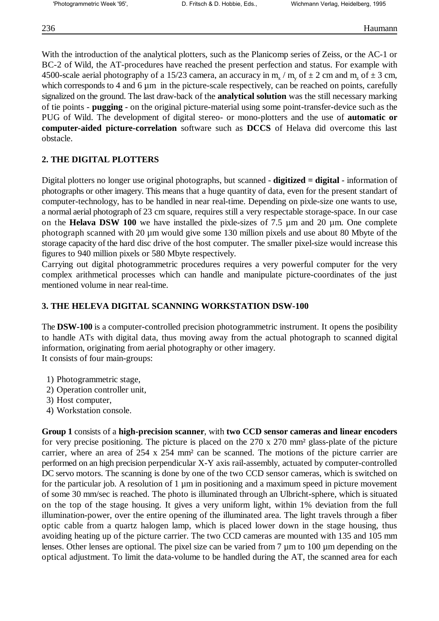With the introduction of the analytical plotters, such as the Planicomp series of Zeiss, or the AC-1 or BC-2 of Wild, the AT-procedures have reached the present perfection and status. For example with 4500-scale aerial photography of a 15/23 camera, an accuracy in m<sub>x</sub> / m<sub>y</sub> of  $\pm$  2 cm and m<sub>z</sub> of  $\pm$  3 cm, which corresponds to 4 and 6 µm in the picture-scale respectively, can be reached on points, carefully signalized on the ground. The last draw-back of the **analytical solution** was the still necessary marking of tie points - **pugging** - on the original picture-material using some point-transfer-device such as the PUG of Wild. The development of digital stereo- or mono-plotters and the use of **automatic or computer-aided picture-correlation** software such as **DCCS** of Helava did overcome this last obstacle.

## **2. THE DIGITAL PLOTTERS**

Digital plotters no longer use original photographs, but scanned - **digitized = digital** - information of photographs or other imagery. This means that a huge quantity of data, even for the present standart of computer-technology, has to be handled in near real-time. Depending on pixle-size one wants to use, a normal aerial photograph of 23 cm square, requires still a very respectable storage-space. In our case on the **Helava DSW 100** we have installed the pixle-sizes of 7.5 µm and 20 µm. One complete photograph scanned with 20  $\mu$ m would give some 130 million pixels and use about 80 Mbvte of the storage capacity of the hard disc drive of the host computer. The smaller pixel-size would increase this figures to 940 million pixels or 580 Mbyte respectively.

Carrying out digital photogrammetric procedures requires a very powerful computer for the very complex arithmetical processes which can handle and manipulate picture-coordinates of the just mentioned volume in near real-time.

### **3. THE HELEVA DIGITAL SCANNING WORKSTATION DSW-100**

The **DSW-100** is a computer-controlled precision photogrammetric instrument. It opens the posibility to handle ATs with digital data, thus moving away from the actual photograph to scanned digital information, originating from aerial photography or other imagery. It consists of four main-groups:

- 1) Photogrammetric stage,
- 2) Operation controller unit,
- 3) Host computer,
- 4) Workstation console.

**Group 1** consists of a **high-precision scanner**, with **two CCD sensor cameras and linear encoders** for very precise positioning. The picture is placed on the 270 x 270 mm² glass-plate of the picture carrier, where an area of 254 x 254 mm² can be scanned. The motions of the picture carrier are performed on an high precision perpendicular X-Y axis rail-assembly, actuated by computer-controlled DC servo motors. The scanning is done by one of the two CCD sensor cameras, which is switched on for the particular job. A resolution of 1 µm in positioning and a maximum speed in picture movement of some 30 mm/sec is reached. The photo is illuminated through an Ulbricht-sphere, which is situated on the top of the stage housing. It gives a very uniform light, within 1% deviation from the full illumination-power, over the entire opening of the illuminated area. The light travels through a fiber optic cable from a quartz halogen lamp, which is placed lower down in the stage housing, thus avoiding heating up of the picture carrier. The two CCD cameras are mounted with 135 and 105 mm lenses. Other lenses are optional. The pixel size can be varied from 7  $\mu$ m to 100  $\mu$ m depending on the optical adjustment. To limit the data-volume to be handled during the AT, the scanned area for each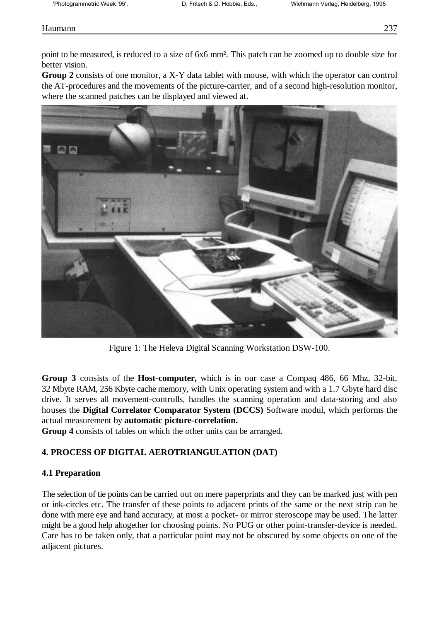## Haumann 237

point to be measured, is reduced to a size of 6x6 mm². This patch can be zoomed up to double size for better vision.

**Group 2** consists of one monitor, a X-Y data tablet with mouse, with which the operator can control the AT-procedures and the movements of the picture-carrier, and of a second high-resolution monitor, where the scanned patches can be displayed and viewed at.



Figure 1: The Heleva Digital Scanning Workstation DSW-100.

**Group 3** consists of the **Host-computer,** which is in our case a Compaq 486, 66 Mhz, 32-bit, 32 Mbyte RAM, 256 Kbyte cache memory, with Unix operating system and with a 1.7 Gbyte hard disc drive. It serves all movement-controlls, handles the scanning operation and data-storing and also houses the **Digital Correlator Comparator System (DCCS)** Software modul, which performs the actual measurement by **automatic picture-correlation.**

**Group 4** consists of tables on which the other units can be arranged.

# **4. PROCESS OF DIGITAL AEROTRIANGULATION (DAT)**

## **4.1 Preparation**

The selection of tie points can be carried out on mere paperprints and they can be marked just with pen or ink-circles etc. The transfer of these points to adjacent prints of the same or the next strip can be done with mere eye and hand accuracy, at most a pocket- or mirror steroscope may be used. The latter might be a good help altogether for choosing points. No PUG or other point-transfer-device is needed. Care has to be taken only, that a particular point may not be obscured by some objects on one of the adjacent pictures.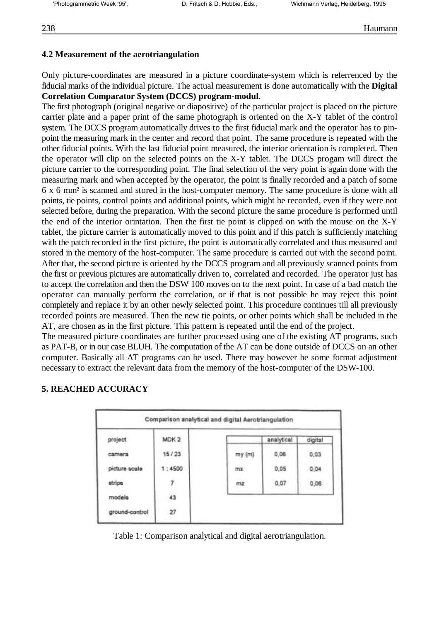### **4.2 Measurement of the aerotriangulation**

Only picture-coordinates are measured in a picture coordinate-system which is referrenced by the fiducial marks of the individual picture. The actual measurement is done automatically with the **Digital Correlation Comparator System (DCCS) program-modul.**

The first photograph (original negative or diapositive) of the particular project is placed on the picture carrier plate and a paper print of the same photograph is oriented on the X-Y tablet of the control system. The DCCS program automatically drives to the first fiducial mark and the operator has to pinpoint the measuring mark in the center and record that point. The same procedure is repeated with the other fiducial points. With the last fiducial point measured, the interior orientation is completed. Then the operator will clip on the selected points on the X-Y tablet. The DCCS progam will direct the picture carrier to the corresponding point. The final selection of the very point is again done with the measuring mark and when accepted by the operator, the point is finally recorded and a patch of some 6 x 6 mm² is scanned and stored in the host-computer memory. The same procedure is done with all points, tie points, control points and additional points, which might be recorded, even if they were not selected before, during the preparation. With the second picture the same procedure is performed until the end of the interior orintation. Then the first tie point is clipped on with the mouse on the X-Y tablet, the picture carrier is automatically moved to this point and if this patch is sufficiently matching with the patch recorded in the first picture, the point is automatically correlated and thus measured and stored in the memory of the host-computer. The same procedure is carried out with the second point. After that, the second picture is oriented by the DCCS program and all previously scanned points from the first or previous pictures are automatically driven to, correlated and recorded. The operator just has to accept the correlation and then the DSW 100 moves on to the next point. In case of a bad match the operator can manually perform the correlation, or if that is not possible he may reject this point completely and replace it by an other newly selected point. This procedure continues till all previously recorded points are measured. Then the new tie points, or other points which shall be included in the AT, are chosen as in the first picture. This pattern is repeated until the end of the project.

The measured picture coordinates are further processed using one of the existing AT programs, such as PAT-B, or in our case BLUH. The computation of the AT can be done outside of DCCS on an other computer. Basically all AT programs can be used. There may however be some format adjustment necessary to extract the relevant data from the memory of the host-computer of the DSW-100.

## **5. REACHED ACCURACY**

| project        | MDK <sub>2</sub> |               | analytical | digital |
|----------------|------------------|---------------|------------|---------|
| camera         | 15/23            | my (m)        | 0,06       | 0,03    |
| picture scale  | 1:4500           | <b>TTLK</b>   | 0,05       | 0,04    |
| strips         | 7                | 312,245<br>mz | 0,07       | 0,06    |
| models         | 43               |               |            |         |
| ground-control | 27               |               |            |         |

Table 1: Comparison analytical and digital aerotriangulation.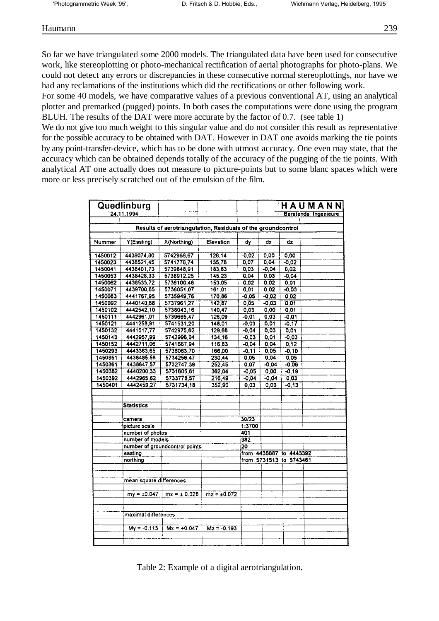## Haumann 239

So far we have triangulated some 2000 models. The triangulated data have been used for consecutive work, like stereoplotting or photo-mechanical rectification of aerial photographs for photo-plans. We could not detect any errors or discrepancies in these consecutive normal stereoplottings, nor have we had any reclamations of the institutions which did the rectifications or other following work.

For some 40 models, we have comparative values of a previous conventional AT, using an analytical plotter and premarked (pugged) points. In both cases the computations were done using the program BLUH. The results of the DAT were more accurate by the factor of 0.7. (see table 1)

We do not give too much weight to this singular value and do not consider this result as representative for the possible accuracy to be obtained with DAT. However in DAT one avoids marking the tie points by any point-transfer-device, which has to be done with utmost accuracy. One even may state, that the accuracy which can be obtained depends totally of the accuracy of the pugging of the tie points. With analytical AT one actually does not measure to picture-points but to some blanc spaces which were more or less precisely scratched out of the emulsion of the film.

|         | Quedlinburg                                                   |                                                              |                  |                         |         |                         | HAUMANN              |
|---------|---------------------------------------------------------------|--------------------------------------------------------------|------------------|-------------------------|---------|-------------------------|----------------------|
|         | 24.11.1994                                                    |                                                              |                  |                         |         |                         | Beratende Ingenieure |
|         |                                                               |                                                              |                  |                         |         |                         |                      |
|         |                                                               | Results of aerotriangulation, Residuals of the groundcontrol |                  |                         |         |                         |                      |
|         |                                                               |                                                              |                  |                         |         |                         |                      |
| Nummer  | Y(Easting)                                                    | X(Northing)                                                  | Elevation        | dy                      | dx      | dz                      |                      |
|         |                                                               |                                                              |                  |                         |         |                         |                      |
| 1450012 | 4439074.80                                                    | 5742966.67                                                   | 126,14           | $-0.02$                 | 0.00    | 0.00                    |                      |
| 1450023 | 4438521,45                                                    | 5741776.74                                                   | 135,78           | 0,07                    | 0,04    | $-0,02$                 |                      |
| 1450041 | 4438401.73                                                    | 5739848,91                                                   | 183,63           | 0.03                    | $-0.04$ | 0.02                    |                      |
| 1450053 | 4438428,33                                                    | 5738912,25                                                   | 145,23           | 0,04                    | 0,03    | $-0.04$                 |                      |
| 1450062 | 4438533,72                                                    | 5736100,46                                                   | 153,05           | 0.02                    | 0,02    | 0.01                    |                      |
| 1450071 | 4439700,85                                                    | 5736051,07                                                   | 161,01           | 0.01                    | 0,02    | $-0.03$                 |                      |
| 1450083 | 4441767,95                                                    | 5735949,76                                                   | 170,86           | $-0.05$                 | $-0.02$ | 0,02                    |                      |
| 1450092 | 4440140,88                                                    | 5737961.27                                                   | 142,87           | 0,05                    | $-0,03$ | 0,01                    |                      |
| 1450102 | 4442542,10                                                    | 5738043.16                                                   | 140,47           | 0.03                    | 0,00    | 0.01                    |                      |
| 1450111 | 4442961,01                                                    | 5739665,47                                                   | 126,09           | $-0.01$                 | 0,03    | $-0.01$                 |                      |
| 1450121 | 4441258,91                                                    | 5741531,20                                                   | 148,01           | $-0.03$                 | 0,01    | $-0.17$                 |                      |
| 1450132 | 4441517,77                                                    | 5742975,62                                                   | 129,68           | $-0.04$                 | 0,03    | 0,01                    |                      |
| 1450143 | 4442957.99                                                    | 5742996,04                                                   | 134,16           | $-0.03$                 | 0,01    | $-0.03$                 |                      |
| 1450152 | 4442711,06                                                    | 5741667,94                                                   | 116,83           | $-0.04$                 | 0.04    | 0,12                    |                      |
| 1450293 | 4443363,65                                                    | 5736063,70                                                   | 166,00           | $-0.11$                 | 0.05    | $-0,10$                 |                      |
| 1450351 | 4438485,58                                                    | 5734256,47                                                   | 230,44           | 0,05                    | 0,04    | 0.05                    |                      |
| 1450361 | 4438647,57                                                    | 5732747,39                                                   | 252,45           | 0.07                    | $-0,04$ | $-0,06$                 |                      |
| 1450382 | 4440200.33                                                    | 5731605,61                                                   | 362,04           | $-0,05$                 | 0,00    | $-0,19$                 |                      |
| 1450392 | 4442965,62                                                    | 5733778,57                                                   | 216,49           | $-0.04$                 | $-0,04$ | 0,03                    |                      |
| 1450401 | 4442459,27                                                    | 5731734,18                                                   | 352,90           | 0,03                    | 0,00    | $-0,13$                 |                      |
|         |                                                               |                                                              |                  |                         |         |                         |                      |
|         |                                                               |                                                              |                  |                         |         |                         |                      |
|         | <b>Statistics</b>                                             |                                                              |                  |                         |         |                         |                      |
|         |                                                               |                                                              |                  |                         |         |                         |                      |
|         | camera                                                        |                                                              |                  | 30/23                   |         |                         |                      |
|         | picture scale                                                 |                                                              |                  | 1:3700                  |         |                         |                      |
|         | number of photos                                              |                                                              |                  | 401                     |         |                         |                      |
|         | number of models<br>number of groundcontrol points<br>easting |                                                              |                  | 382                     |         |                         |                      |
|         |                                                               |                                                              |                  | 20                      |         |                         |                      |
|         |                                                               |                                                              |                  | from 4438687 to 4443392 |         |                         |                      |
|         | northing                                                      |                                                              |                  |                         |         | from 5731513 to 5743461 |                      |
|         |                                                               |                                                              |                  |                         |         |                         |                      |
|         |                                                               |                                                              |                  |                         |         |                         |                      |
|         | mean square differences                                       |                                                              |                  |                         |         |                         |                      |
|         |                                                               |                                                              |                  |                         |         |                         |                      |
|         |                                                               | $my = \pm 0.047$ $mx = \pm 0.028$                            | $mz = \pm 0.072$ |                         |         |                         |                      |
|         |                                                               |                                                              |                  |                         |         |                         |                      |
|         |                                                               |                                                              |                  |                         |         |                         |                      |
|         | maximal differences                                           |                                                              |                  |                         |         |                         |                      |
|         |                                                               |                                                              |                  |                         |         |                         |                      |
|         | $My = -0.113$                                                 | $Mx = +0.047$                                                | $Mz = -0.193$    |                         |         |                         |                      |
|         |                                                               |                                                              |                  |                         |         |                         |                      |
|         |                                                               |                                                              |                  |                         |         |                         |                      |

Table 2: Example of a digital aerotriangulation.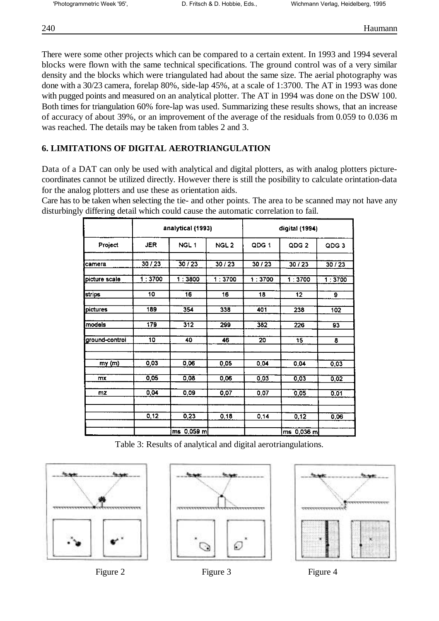There were some other projects which can be compared to a certain extent. In 1993 and 1994 several blocks were flown with the same technical specifications. The ground control was of a very similar density and the blocks which were triangulated had about the same size. The aerial photography was done with a 30/23 camera, forelap 80%, side-lap 45%, at a scale of 1:3700. The AT in 1993 was done with pugged points and measured on an analytical plotter. The AT in 1994 was done on the DSW 100. Both times for triangulation 60% fore-lap was used. Summarizing these results shows, that an increase of accuracy of about 39%, or an improvement of the average of the residuals from 0.059 to 0.036 m was reached. The details may be taken from tables 2 and 3.

## **6. LIMITATIONS OF DIGITAL AEROTRIANGULATION**

Data of a DAT can only be used with analytical and digital plotters, as with analog plotters picturecoordinates cannot be utilized directly. However there is still the posibility to calculate orintation-data for the analog plotters and use these as orientation aids.

Care has to be taken when selecting the tie- and other points. The area to be scanned may not have any disturbingly differing detail which could cause the automatic correlation to fail.

|                | analytical (1993) |                  |                  | digital (1994) |                  |                  |  |
|----------------|-------------------|------------------|------------------|----------------|------------------|------------------|--|
| Project        | <b>JER</b>        | NGL <sub>1</sub> | NGL <sub>2</sub> | QDG 1          | QDG <sub>2</sub> | QDG <sub>3</sub> |  |
| camera         | 30 / 23           | 30/23            | 30/23            | 30/23          | 30/23            | 30/23            |  |
| picture scale  | 1:3700            | 1:3800           | 1:3700           | 1:3700         | 1:3700           | 1:3700           |  |
| <b>strips</b>  | 10                | 16               | 16               | 18             | 12               | 9                |  |
| pictures       | 189               | 354              | 338              | 401            | 238              | 102              |  |
| models         | 179               | 312              | 299              | 382            | 226              | 93               |  |
| ground-control | 10                | 40               | 46               | 20             | 15               | 8                |  |
| my(m)          | 0,03              | 0,06             | 0,05             | 0,04           | 0.04             | 0,03             |  |
| mx             | 0,05              | 0,08             | 0.06             | 0,03           | 0,03             | 0,02             |  |
| mz             | 0,04              | 0,09             | 0.07             | 0,07           | 0.05             | 0,01             |  |
|                | 0, 12             | 0,23             | 0,18             | 0,14           | 0,12             | 0.06             |  |
|                |                   | ms 0,059 ml      |                  |                | $0,036$ ml<br>ms |                  |  |

Table 3: Results of analytical and digital aerotriangulations.